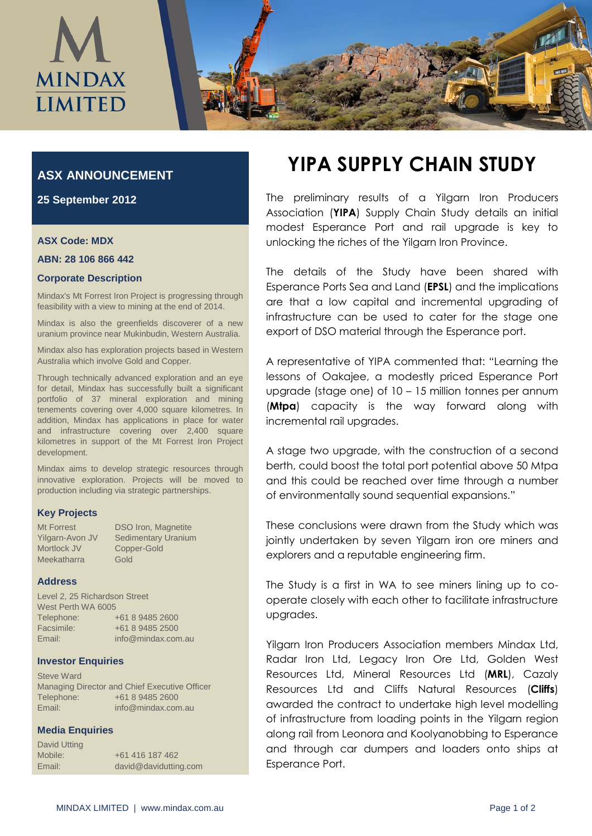

# **ASX ANNOUNCEMENT**

**25 September 2012**

#### **ASX Code: MDX**

#### **ABN: 28 106 866 442**

#### **Corporate Description**

Mindax's Mt Forrest Iron Project is progressing through feasibility with a view to mining at the end of 2014.

Mindax is also the greenfields discoverer of a new uranium province near Mukinbudin, Western Australia.

Mindax also has exploration projects based in Western Australia which involve Gold and Copper.

Through technically advanced exploration and an eye for detail, Mindax has successfully built a significant portfolio of 37 mineral exploration and mining tenements covering over 4,000 square kilometres. In addition, Mindax has applications in place for water and infrastructure covering over 2,400 square kilometres in support of the Mt Forrest Iron Project development.

Mindax aims to develop strategic resources through innovative exploration. Projects will be moved to production including via strategic partnerships.

## **Key Projects**

| Mt Forrest      | <b>DSO Iron, Magnetite</b> |
|-----------------|----------------------------|
| Yilgarn-Avon JV | <b>Sedimentary Uranium</b> |
| Mortlock JV     | Copper-Gold                |
| Meekatharra     | Gold                       |

## **Address**

Level 2, 25 Richardson Street West Perth WA 6005 Telephone: +61 8 9485 2600 Facsimile: +61 8 9485 2500 Email: info@mindax.com.au

## **Investor Enquiries**

Steve Ward Managing Director and Chief Executive Officer Telephone: +61 8 9485 2600 Email: info@mindax.com.au

# **Media Enquiries**

| David Utting |                       |
|--------------|-----------------------|
| Mobile:      | +61 416 187 462       |
| Email:       | david@davidutting.com |

# **YIPA SUPPLY CHAIN STUDY**

The preliminary results of a Yilgarn Iron Producers Association (**YIPA**) Supply Chain Study details an initial modest Esperance Port and rail upgrade is key to unlocking the riches of the Yilgarn Iron Province.

The details of the Study have been shared with Esperance Ports Sea and Land (**EPSL**) and the implications are that a low capital and incremental upgrading of infrastructure can be used to cater for the stage one export of DSO material through the Esperance port.

A representative of YIPA commented that: "Learning the lessons of Oakajee, a modestly priced Esperance Port upgrade (stage one) of 10 – 15 million tonnes per annum (**Mtpa**) capacity is the way forward along with incremental rail upgrades.

A stage two upgrade, with the construction of a second berth, could boost the total port potential above 50 Mtpa and this could be reached over time through a number of environmentally sound sequential expansions."

These conclusions were drawn from the Study which was jointly undertaken by seven Yilgarn iron ore miners and explorers and a reputable engineering firm.

The Study is a first in WA to see miners lining up to cooperate closely with each other to facilitate infrastructure upgrades.

Yilgarn Iron Producers Association members Mindax Ltd, Radar Iron Ltd, Legacy Iron Ore Ltd, Golden West Resources Ltd, Mineral Resources Ltd (**MRL**), Cazaly Resources Ltd and Cliffs Natural Resources (**Cliffs**) awarded the contract to undertake high level modelling of infrastructure from loading points in the Yilgarn region along rail from Leonora and Koolyanobbing to Esperance and through car dumpers and loaders onto ships at Esperance Port.